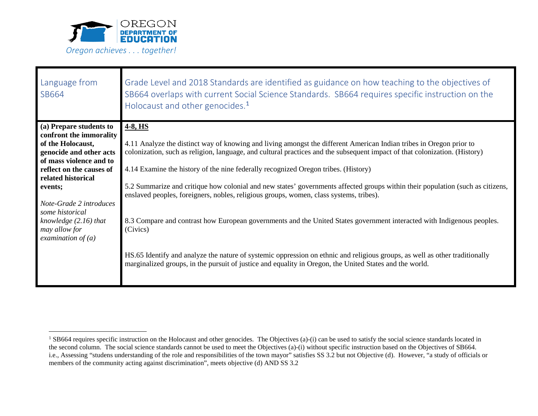

| Language from<br>SB664                                                                                                                                                                     | Grade Level and 2018 Standards are identified as guidance on how teaching to the objectives of<br>SB664 overlaps with current Social Science Standards. SB664 requires specific instruction on the<br>Holocaust and other genocides. <sup>1</sup>                                                                                                                                                                                                                                                                                                                   |  |  |  |  |  |  |
|--------------------------------------------------------------------------------------------------------------------------------------------------------------------------------------------|---------------------------------------------------------------------------------------------------------------------------------------------------------------------------------------------------------------------------------------------------------------------------------------------------------------------------------------------------------------------------------------------------------------------------------------------------------------------------------------------------------------------------------------------------------------------|--|--|--|--|--|--|
| (a) Prepare students to                                                                                                                                                                    | 4-8, HS                                                                                                                                                                                                                                                                                                                                                                                                                                                                                                                                                             |  |  |  |  |  |  |
| confront the immorality<br>of the Holocaust,<br>genocide and other acts<br>of mass violence and to<br>reflect on the causes of<br>related historical<br>events;<br>Note-Grade 2 introduces | 4.11 Analyze the distinct way of knowing and living amongst the different American Indian tribes in Oregon prior to<br>colonization, such as religion, language, and cultural practices and the subsequent impact of that colonization. (History)<br>4.14 Examine the history of the nine federally recognized Oregon tribes. (History)<br>5.2 Summarize and critique how colonial and new states' governments affected groups within their population (such as citizens,<br>enslaved peoples, foreigners, nobles, religious groups, women, class systems, tribes). |  |  |  |  |  |  |
| some historical<br>knowledge $(2.16)$ that<br>may allow for<br>examination of $(a)$                                                                                                        | 8.3 Compare and contrast how European governments and the United States government interacted with Indigenous peoples.<br>(Civics)                                                                                                                                                                                                                                                                                                                                                                                                                                  |  |  |  |  |  |  |
|                                                                                                                                                                                            | HS.65 Identify and analyze the nature of systemic oppression on ethnic and religious groups, as well as other traditionally<br>marginalized groups, in the pursuit of justice and equality in Oregon, the United States and the world.                                                                                                                                                                                                                                                                                                                              |  |  |  |  |  |  |

<span id="page-0-0"></span><sup>&</sup>lt;sup>1</sup> SB664 requires specific instruction on the Holocaust and other genocides. The Objectives (a)-(i) can be used to satisfy the social science standards located in the second column. The social science standards cannot be used to meet the Objectives (a)-(i) without specific instruction based on the Objectives of SB664. i.e., Assessing "studens understanding of the role and responsibilities of the town mayor" satisfies SS 3.2 but not Objective (d). However, "a study of officials or members of the community acting against discrimination", meets objective (d) AND SS 3.2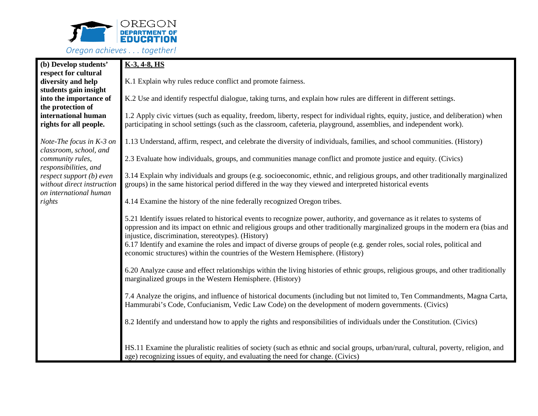

| (b) Develop students'                                                                                     | $K-3, 4-8, HS$                                                                                                                                                                                                                                                                                                                                                                                                                                                                                                                        |  |  |  |  |  |  |  |  |
|-----------------------------------------------------------------------------------------------------------|---------------------------------------------------------------------------------------------------------------------------------------------------------------------------------------------------------------------------------------------------------------------------------------------------------------------------------------------------------------------------------------------------------------------------------------------------------------------------------------------------------------------------------------|--|--|--|--|--|--|--|--|
| respect for cultural<br>diversity and help                                                                | K.1 Explain why rules reduce conflict and promote fairness.                                                                                                                                                                                                                                                                                                                                                                                                                                                                           |  |  |  |  |  |  |  |  |
| students gain insight<br>into the importance of<br>the protection of                                      | K.2 Use and identify respectful dialogue, taking turns, and explain how rules are different in different settings.                                                                                                                                                                                                                                                                                                                                                                                                                    |  |  |  |  |  |  |  |  |
| international human<br>rights for all people.                                                             | 1.2 Apply civic virtues (such as equality, freedom, liberty, respect for individual rights, equity, justice, and deliberation) when<br>participating in school settings (such as the classroom, cafeteria, playground, assemblies, and independent work).                                                                                                                                                                                                                                                                             |  |  |  |  |  |  |  |  |
| Note-The focus in K-3 on                                                                                  | 1.13 Understand, affirm, respect, and celebrate the diversity of individuals, families, and school communities. (History)                                                                                                                                                                                                                                                                                                                                                                                                             |  |  |  |  |  |  |  |  |
| classroom, school, and<br>community rules,                                                                | 2.3 Evaluate how individuals, groups, and communities manage conflict and promote justice and equity. (Civics)                                                                                                                                                                                                                                                                                                                                                                                                                        |  |  |  |  |  |  |  |  |
| responsibilities, and<br>respect support (b) even<br>without direct instruction<br>on international human | 3.14 Explain why individuals and groups (e.g. socioeconomic, ethnic, and religious groups, and other traditionally marginalized<br>groups) in the same historical period differed in the way they viewed and interpreted historical events                                                                                                                                                                                                                                                                                            |  |  |  |  |  |  |  |  |
| rights                                                                                                    | 4.14 Examine the history of the nine federally recognized Oregon tribes.                                                                                                                                                                                                                                                                                                                                                                                                                                                              |  |  |  |  |  |  |  |  |
|                                                                                                           | 5.21 Identify issues related to historical events to recognize power, authority, and governance as it relates to systems of<br>oppression and its impact on ethnic and religious groups and other traditionally marginalized groups in the modern era (bias and<br>injustice, discrimination, stereotypes). (History)<br>6.17 Identify and examine the roles and impact of diverse groups of people (e.g. gender roles, social roles, political and<br>economic structures) within the countries of the Western Hemisphere. (History) |  |  |  |  |  |  |  |  |
|                                                                                                           | 6.20 Analyze cause and effect relationships within the living histories of ethnic groups, religious groups, and other traditionally<br>marginalized groups in the Western Hemisphere. (History)                                                                                                                                                                                                                                                                                                                                       |  |  |  |  |  |  |  |  |
|                                                                                                           | 7.4 Analyze the origins, and influence of historical documents (including but not limited to, Ten Commandments, Magna Carta,<br>Hammurabi's Code, Confucianism, Vedic Law Code) on the development of modern governments. (Civics)                                                                                                                                                                                                                                                                                                    |  |  |  |  |  |  |  |  |
|                                                                                                           | 8.2 Identify and understand how to apply the rights and responsibilities of individuals under the Constitution. (Civics)                                                                                                                                                                                                                                                                                                                                                                                                              |  |  |  |  |  |  |  |  |
|                                                                                                           | HS.11 Examine the pluralistic realities of society (such as ethnic and social groups, urban/rural, cultural, poverty, religion, and<br>age) recognizing issues of equity, and evaluating the need for change. (Civics)                                                                                                                                                                                                                                                                                                                |  |  |  |  |  |  |  |  |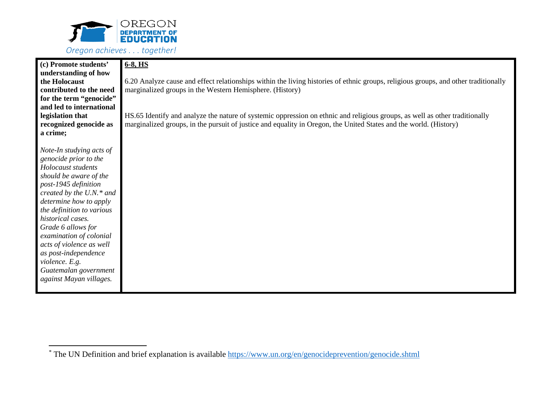

| (c) Promote students'<br>understanding of how<br>the Holocaust<br>contributed to the need<br>for the term "genocide"<br>and led to international<br>legislation that<br>recognized genocide as                                                                                                                                                                                                                             | $6-8$ , HS<br>6.20 Analyze cause and effect relationships within the living histories of ethnic groups, religious groups, and other traditionally<br>marginalized groups in the Western Hemisphere. (History)<br>HS.65 Identify and analyze the nature of systemic oppression on ethnic and religious groups, as well as other traditionally<br>marginalized groups, in the pursuit of justice and equality in Oregon, the United States and the world. (History) |
|----------------------------------------------------------------------------------------------------------------------------------------------------------------------------------------------------------------------------------------------------------------------------------------------------------------------------------------------------------------------------------------------------------------------------|-------------------------------------------------------------------------------------------------------------------------------------------------------------------------------------------------------------------------------------------------------------------------------------------------------------------------------------------------------------------------------------------------------------------------------------------------------------------|
| a crime;<br>Note-In studying acts of<br>genocide prior to the<br>Holocaust students<br>should be aware of the<br>post-1945 definition<br>created by the $U.N.*$ and<br>determine how to apply<br>the definition to various<br>historical cases.<br>Grade 6 allows for<br>examination of colonial<br>acts of violence as well<br>as post-independence<br>violence. E.g.<br>Guatemalan government<br>against Mayan villages. |                                                                                                                                                                                                                                                                                                                                                                                                                                                                   |

<span id="page-2-0"></span> <sup>\*</sup> The UN Definition and brief explanation is available<https://www.un.org/en/genocideprevention/genocide.shtml>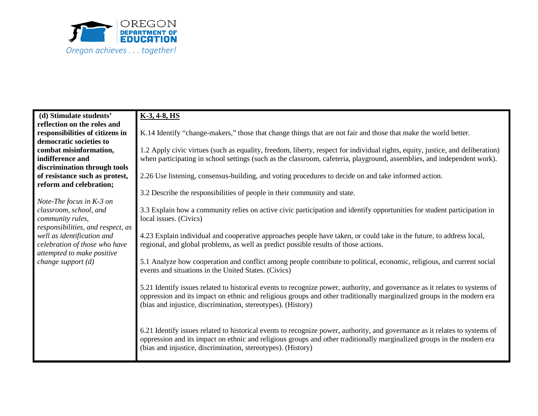

| (d) Stimulate students'           | $K-3, 4-8, HS$                                                                                                                 |  |  |  |  |  |  |  |  |
|-----------------------------------|--------------------------------------------------------------------------------------------------------------------------------|--|--|--|--|--|--|--|--|
| reflection on the roles and       |                                                                                                                                |  |  |  |  |  |  |  |  |
| responsibilities of citizens in   | K.14 Identify "change-makers," those that change things that are not fair and those that make the world better.                |  |  |  |  |  |  |  |  |
| democratic societies to           |                                                                                                                                |  |  |  |  |  |  |  |  |
| combat misinformation,            | 1.2 Apply civic virtues (such as equality, freedom, liberty, respect for individual rights, equity, justice, and deliberation) |  |  |  |  |  |  |  |  |
| indifference and                  | when participating in school settings (such as the classroom, cafeteria, playground, assemblies, and independent work).        |  |  |  |  |  |  |  |  |
| discrimination through tools      | 2.26 Use listening, consensus-building, and voting procedures to decide on and take informed action.                           |  |  |  |  |  |  |  |  |
| of resistance such as protest,    |                                                                                                                                |  |  |  |  |  |  |  |  |
| reform and celebration;           |                                                                                                                                |  |  |  |  |  |  |  |  |
|                                   | 3.2 Describe the responsibilities of people in their community and state.                                                      |  |  |  |  |  |  |  |  |
| Note-The focus in $K-3$ on        |                                                                                                                                |  |  |  |  |  |  |  |  |
| classroom, school, and            | 3.3 Explain how a community relies on active civic participation and identify opportunities for student participation in       |  |  |  |  |  |  |  |  |
| community rules,                  | local issues. (Civics)                                                                                                         |  |  |  |  |  |  |  |  |
| responsibilities, and respect, as |                                                                                                                                |  |  |  |  |  |  |  |  |
| well as identification and        | 4.23 Explain individual and cooperative approaches people have taken, or could take in the future, to address local,           |  |  |  |  |  |  |  |  |
| celebration of those who have     | regional, and global problems, as well as predict possible results of those actions.                                           |  |  |  |  |  |  |  |  |
| attempted to make positive        | 5.1 Analyze how cooperation and conflict among people contribute to political, economic, religious, and current social         |  |  |  |  |  |  |  |  |
| change support $(d)$              |                                                                                                                                |  |  |  |  |  |  |  |  |
|                                   | events and situations in the United States. (Civics)                                                                           |  |  |  |  |  |  |  |  |
|                                   |                                                                                                                                |  |  |  |  |  |  |  |  |
|                                   | 5.21 Identify issues related to historical events to recognize power, authority, and governance as it relates to systems of    |  |  |  |  |  |  |  |  |
|                                   | oppression and its impact on ethnic and religious groups and other traditionally marginalized groups in the modern era         |  |  |  |  |  |  |  |  |
|                                   | (bias and injustice, discrimination, stereotypes). (History)                                                                   |  |  |  |  |  |  |  |  |
|                                   |                                                                                                                                |  |  |  |  |  |  |  |  |
|                                   | 6.21 Identify issues related to historical events to recognize power, authority, and governance as it relates to systems of    |  |  |  |  |  |  |  |  |
|                                   | oppression and its impact on ethnic and religious groups and other traditionally marginalized groups in the modern era         |  |  |  |  |  |  |  |  |
|                                   | (bias and injustice, discrimination, stereotypes). (History)                                                                   |  |  |  |  |  |  |  |  |
|                                   |                                                                                                                                |  |  |  |  |  |  |  |  |
|                                   |                                                                                                                                |  |  |  |  |  |  |  |  |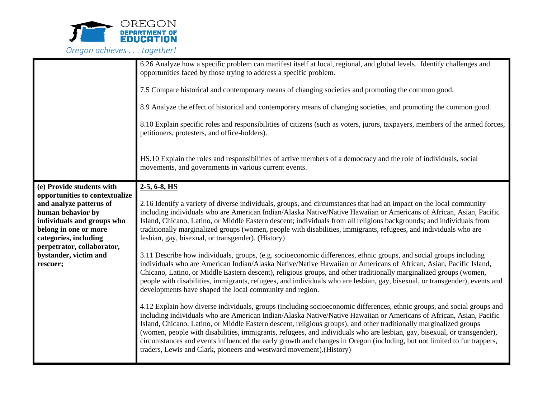

|                                                                                                                                                                                                                                                                | 6.26 Analyze how a specific problem can manifest itself at local, regional, and global levels. Identify challenges and<br>opportunities faced by those trying to address a specific problem.<br>7.5 Compare historical and contemporary means of changing societies and promoting the common good.<br>8.9 Analyze the effect of historical and contemporary means of changing societies, and promoting the common good.<br>8.10 Explain specific roles and responsibilities of citizens (such as voters, jurors, taxpayers, members of the armed forces,<br>petitioners, protesters, and office-holders).<br>HS.10 Explain the roles and responsibilities of active members of a democracy and the role of individuals, social<br>movements, and governments in various current events.                                                                                                                                                                                                                                                                                                                                                                                                                                                                                                                                                                                                                                                                                                                                                                                                                                                                                                                                                                                                                                            |  |  |  |  |  |  |
|----------------------------------------------------------------------------------------------------------------------------------------------------------------------------------------------------------------------------------------------------------------|------------------------------------------------------------------------------------------------------------------------------------------------------------------------------------------------------------------------------------------------------------------------------------------------------------------------------------------------------------------------------------------------------------------------------------------------------------------------------------------------------------------------------------------------------------------------------------------------------------------------------------------------------------------------------------------------------------------------------------------------------------------------------------------------------------------------------------------------------------------------------------------------------------------------------------------------------------------------------------------------------------------------------------------------------------------------------------------------------------------------------------------------------------------------------------------------------------------------------------------------------------------------------------------------------------------------------------------------------------------------------------------------------------------------------------------------------------------------------------------------------------------------------------------------------------------------------------------------------------------------------------------------------------------------------------------------------------------------------------------------------------------------------------------------------------------------------------|--|--|--|--|--|--|
| (e) Provide students with<br>opportunities to contextualize<br>and analyze patterns of<br>human behavior by<br>individuals and groups who<br>belong in one or more<br>categories, including<br>perpetrator, collaborator,<br>bystander, victim and<br>rescuer; | $2-5, 6-8, HS$<br>2.16 Identify a variety of diverse individuals, groups, and circumstances that had an impact on the local community<br>including individuals who are American Indian/Alaska Native/Native Hawaiian or Americans of African, Asian, Pacific<br>Island, Chicano, Latino, or Middle Eastern descent; individuals from all religious backgrounds; and individuals from<br>traditionally marginalized groups (women, people with disabilities, immigrants, refugees, and individuals who are<br>lesbian, gay, bisexual, or transgender). (History)<br>3.11 Describe how individuals, groups, (e.g. socioeconomic differences, ethnic groups, and social groups including<br>individuals who are American Indian/Alaska Native/Native Hawaiian or Americans of African, Asian, Pacific Island,<br>Chicano, Latino, or Middle Eastern descent), religious groups, and other traditionally marginalized groups (women,<br>people with disabilities, immigrants, refugees, and individuals who are lesbian, gay, bisexual, or transgender), events and<br>developments have shaped the local community and region.<br>4.12 Explain how diverse individuals, groups (including socioeconomic differences, ethnic groups, and social groups and<br>including individuals who are American Indian/Alaska Native/Native Hawaiian or Americans of African, Asian, Pacific<br>Island, Chicano, Latino, or Middle Eastern descent, religious groups), and other traditionally marginalized groups<br>(women, people with disabilities, immigrants, refugees, and individuals who are lesbian, gay, bisexual, or transgender),<br>circumstances and events influenced the early growth and changes in Oregon (including, but not limited to fur trappers,<br>traders, Lewis and Clark, pioneers and westward movement). (History) |  |  |  |  |  |  |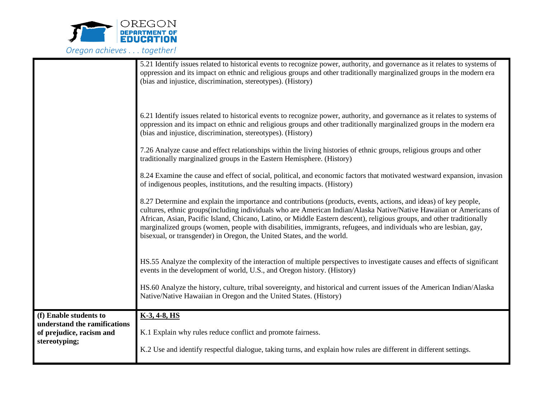

|                                                          | 5.21 Identify issues related to historical events to recognize power, authority, and governance as it relates to systems of<br>oppression and its impact on ethnic and religious groups and other traditionally marginalized groups in the modern era<br>(bias and injustice, discrimination, stereotypes). (History)                                                                                                                                                                                                                                              |
|----------------------------------------------------------|--------------------------------------------------------------------------------------------------------------------------------------------------------------------------------------------------------------------------------------------------------------------------------------------------------------------------------------------------------------------------------------------------------------------------------------------------------------------------------------------------------------------------------------------------------------------|
|                                                          | 6.21 Identify issues related to historical events to recognize power, authority, and governance as it relates to systems of<br>oppression and its impact on ethnic and religious groups and other traditionally marginalized groups in the modern era<br>(bias and injustice, discrimination, stereotypes). (History)                                                                                                                                                                                                                                              |
|                                                          | 7.26 Analyze cause and effect relationships within the living histories of ethnic groups, religious groups and other<br>traditionally marginalized groups in the Eastern Hemisphere. (History)                                                                                                                                                                                                                                                                                                                                                                     |
|                                                          | 8.24 Examine the cause and effect of social, political, and economic factors that motivated westward expansion, invasion<br>of indigenous peoples, institutions, and the resulting impacts. (History)                                                                                                                                                                                                                                                                                                                                                              |
|                                                          | 8.27 Determine and explain the importance and contributions (products, events, actions, and ideas) of key people,<br>cultures, ethnic groups (including individuals who are American Indian/Alaska Native/Native Hawaiian or Americans of<br>African, Asian, Pacific Island, Chicano, Latino, or Middle Eastern descent), religious groups, and other traditionally<br>marginalized groups (women, people with disabilities, immigrants, refugees, and individuals who are lesbian, gay,<br>bisexual, or transgender) in Oregon, the United States, and the world. |
|                                                          | HS.55 Analyze the complexity of the interaction of multiple perspectives to investigate causes and effects of significant<br>events in the development of world, U.S., and Oregon history. (History)                                                                                                                                                                                                                                                                                                                                                               |
|                                                          | HS.60 Analyze the history, culture, tribal sovereignty, and historical and current issues of the American Indian/Alaska<br>Native/Native Hawaiian in Oregon and the United States. (History)                                                                                                                                                                                                                                                                                                                                                                       |
| (f) Enable students to                                   | $K-3, 4-8, HS$                                                                                                                                                                                                                                                                                                                                                                                                                                                                                                                                                     |
| understand the ramifications<br>of prejudice, racism and | K.1 Explain why rules reduce conflict and promote fairness.                                                                                                                                                                                                                                                                                                                                                                                                                                                                                                        |
| stereotyping;                                            |                                                                                                                                                                                                                                                                                                                                                                                                                                                                                                                                                                    |
|                                                          | K.2 Use and identify respectful dialogue, taking turns, and explain how rules are different in different settings.                                                                                                                                                                                                                                                                                                                                                                                                                                                 |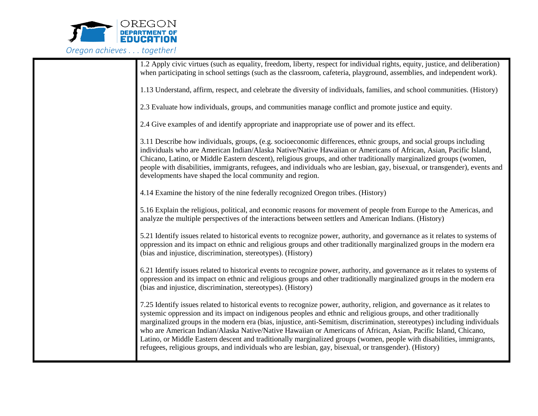

| 1.2 Apply civic virtues (such as equality, freedom, liberty, respect for individual rights, equity, justice, and deliberation)<br>when participating in school settings (such as the classroom, cafeteria, playground, assemblies, and independent work).                                                                                                                                                                                                                                                                                                                                                                                                                                                                         |
|-----------------------------------------------------------------------------------------------------------------------------------------------------------------------------------------------------------------------------------------------------------------------------------------------------------------------------------------------------------------------------------------------------------------------------------------------------------------------------------------------------------------------------------------------------------------------------------------------------------------------------------------------------------------------------------------------------------------------------------|
| 1.13 Understand, affirm, respect, and celebrate the diversity of individuals, families, and school communities. (History)                                                                                                                                                                                                                                                                                                                                                                                                                                                                                                                                                                                                         |
| 2.3 Evaluate how individuals, groups, and communities manage conflict and promote justice and equity.                                                                                                                                                                                                                                                                                                                                                                                                                                                                                                                                                                                                                             |
| 2.4 Give examples of and identify appropriate and inappropriate use of power and its effect.                                                                                                                                                                                                                                                                                                                                                                                                                                                                                                                                                                                                                                      |
| 3.11 Describe how individuals, groups, (e.g. socioeconomic differences, ethnic groups, and social groups including<br>individuals who are American Indian/Alaska Native/Native Hawaiian or Americans of African, Asian, Pacific Island,<br>Chicano, Latino, or Middle Eastern descent), religious groups, and other traditionally marginalized groups (women,<br>people with disabilities, immigrants, refugees, and individuals who are lesbian, gay, bisexual, or transgender), events and<br>developments have shaped the local community and region.                                                                                                                                                                          |
| 4.14 Examine the history of the nine federally recognized Oregon tribes. (History)                                                                                                                                                                                                                                                                                                                                                                                                                                                                                                                                                                                                                                                |
| 5.16 Explain the religious, political, and economic reasons for movement of people from Europe to the Americas, and<br>analyze the multiple perspectives of the interactions between settlers and American Indians. (History)                                                                                                                                                                                                                                                                                                                                                                                                                                                                                                     |
| 5.21 Identify issues related to historical events to recognize power, authority, and governance as it relates to systems of<br>oppression and its impact on ethnic and religious groups and other traditionally marginalized groups in the modern era<br>(bias and injustice, discrimination, stereotypes). (History)                                                                                                                                                                                                                                                                                                                                                                                                             |
| 6.21 Identify issues related to historical events to recognize power, authority, and governance as it relates to systems of<br>oppression and its impact on ethnic and religious groups and other traditionally marginalized groups in the modern era<br>(bias and injustice, discrimination, stereotypes). (History)                                                                                                                                                                                                                                                                                                                                                                                                             |
| 7.25 Identify issues related to historical events to recognize power, authority, religion, and governance as it relates to<br>systemic oppression and its impact on indigenous peoples and ethnic and religious groups, and other traditionally<br>marginalized groups in the modern era (bias, injustice, anti-Semitism, discrimination, stereotypes) including individuals<br>who are American Indian/Alaska Native/Native Hawaiian or Americans of African, Asian, Pacific Island, Chicano,<br>Latino, or Middle Eastern descent and traditionally marginalized groups (women, people with disabilities, immigrants,<br>refugees, religious groups, and individuals who are lesbian, gay, bisexual, or transgender). (History) |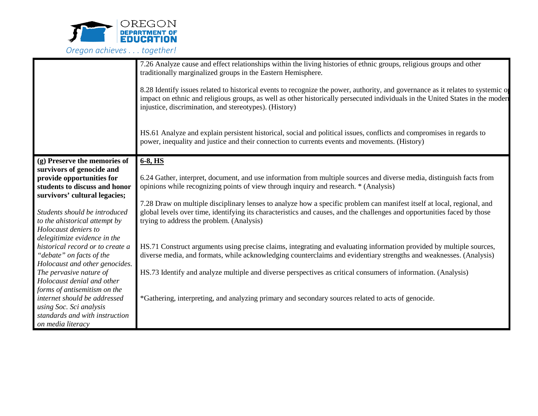

|                                                                                        | 7.26 Analyze cause and effect relationships within the living histories of ethnic groups, religious groups and other<br>traditionally marginalized groups in the Eastern Hemisphere.<br>8.28 Identify issues related to historical events to recognize the power, authority, and governance as it relates to systemic of<br>impact on ethnic and religious groups, as well as other historically persecuted individuals in the United States in the modern<br>injustice, discrimination, and stereotypes). (History)<br>HS.61 Analyze and explain persistent historical, social and political issues, conflicts and compromises in regards to<br>power, inequality and justice and their connection to currents events and movements. (History) |
|----------------------------------------------------------------------------------------|-------------------------------------------------------------------------------------------------------------------------------------------------------------------------------------------------------------------------------------------------------------------------------------------------------------------------------------------------------------------------------------------------------------------------------------------------------------------------------------------------------------------------------------------------------------------------------------------------------------------------------------------------------------------------------------------------------------------------------------------------|
| (g) Preserve the memories of                                                           | 6-8, HS                                                                                                                                                                                                                                                                                                                                                                                                                                                                                                                                                                                                                                                                                                                                         |
| survivors of genocide and                                                              |                                                                                                                                                                                                                                                                                                                                                                                                                                                                                                                                                                                                                                                                                                                                                 |
| provide opportunities for                                                              | 6.24 Gather, interpret, document, and use information from multiple sources and diverse media, distinguish facts from                                                                                                                                                                                                                                                                                                                                                                                                                                                                                                                                                                                                                           |
| students to discuss and honor<br>survivors' cultural legacies;                         | opinions while recognizing points of view through inquiry and research. * (Analysis)                                                                                                                                                                                                                                                                                                                                                                                                                                                                                                                                                                                                                                                            |
|                                                                                        | 7.28 Draw on multiple disciplinary lenses to analyze how a specific problem can manifest itself at local, regional, and                                                                                                                                                                                                                                                                                                                                                                                                                                                                                                                                                                                                                         |
| Students should be introduced<br>to the ahistorical attempt by<br>Holocaust deniers to | global levels over time, identifying its characteristics and causes, and the challenges and opportunities faced by those<br>trying to address the problem. (Analysis)                                                                                                                                                                                                                                                                                                                                                                                                                                                                                                                                                                           |
| delegitimize evidence in the<br>historical record or to create a                       | HS.71 Construct arguments using precise claims, integrating and evaluating information provided by multiple sources,                                                                                                                                                                                                                                                                                                                                                                                                                                                                                                                                                                                                                            |
| "debate" on facts of the                                                               | diverse media, and formats, while acknowledging counterclaims and evidentiary strengths and weaknesses. (Analysis)                                                                                                                                                                                                                                                                                                                                                                                                                                                                                                                                                                                                                              |
| Holocaust and other genocides.                                                         |                                                                                                                                                                                                                                                                                                                                                                                                                                                                                                                                                                                                                                                                                                                                                 |
| The pervasive nature of                                                                | HS.73 Identify and analyze multiple and diverse perspectives as critical consumers of information. (Analysis)                                                                                                                                                                                                                                                                                                                                                                                                                                                                                                                                                                                                                                   |
| Holocaust denial and other                                                             |                                                                                                                                                                                                                                                                                                                                                                                                                                                                                                                                                                                                                                                                                                                                                 |
| forms of antisemitism on the                                                           |                                                                                                                                                                                                                                                                                                                                                                                                                                                                                                                                                                                                                                                                                                                                                 |
| internet should be addressed                                                           | *Gathering, interpreting, and analyzing primary and secondary sources related to acts of genocide.                                                                                                                                                                                                                                                                                                                                                                                                                                                                                                                                                                                                                                              |
| using Soc. Sci analysis<br>standards and with instruction                              |                                                                                                                                                                                                                                                                                                                                                                                                                                                                                                                                                                                                                                                                                                                                                 |
| on media literacy                                                                      |                                                                                                                                                                                                                                                                                                                                                                                                                                                                                                                                                                                                                                                                                                                                                 |
|                                                                                        |                                                                                                                                                                                                                                                                                                                                                                                                                                                                                                                                                                                                                                                                                                                                                 |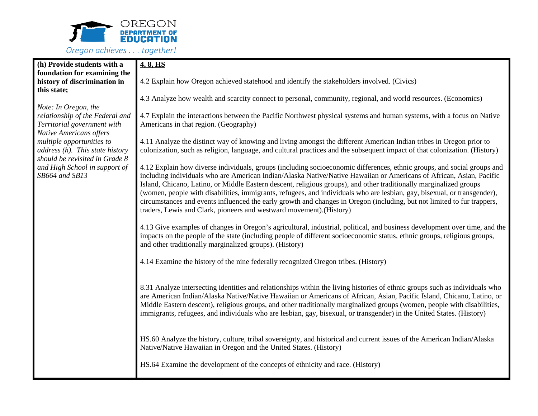

| (h) Provide students with a        | 4, 8, HS                                                                                                                                                                                                                                  |  |  |  |  |  |  |  |  |
|------------------------------------|-------------------------------------------------------------------------------------------------------------------------------------------------------------------------------------------------------------------------------------------|--|--|--|--|--|--|--|--|
| foundation for examining the       |                                                                                                                                                                                                                                           |  |  |  |  |  |  |  |  |
| history of discrimination in       | 4.2 Explain how Oregon achieved statehood and identify the stakeholders involved. (Civics)                                                                                                                                                |  |  |  |  |  |  |  |  |
| this state;                        |                                                                                                                                                                                                                                           |  |  |  |  |  |  |  |  |
|                                    | 4.3 Analyze how wealth and scarcity connect to personal, community, regional, and world resources. (Economics)                                                                                                                            |  |  |  |  |  |  |  |  |
| Note: In Oregon, the               |                                                                                                                                                                                                                                           |  |  |  |  |  |  |  |  |
| relationship of the Federal and    | 4.7 Explain the interactions between the Pacific Northwest physical systems and human systems, with a focus on Native                                                                                                                     |  |  |  |  |  |  |  |  |
| Territorial government with        | Americans in that region. (Geography)                                                                                                                                                                                                     |  |  |  |  |  |  |  |  |
| <b>Native Americans offers</b>     |                                                                                                                                                                                                                                           |  |  |  |  |  |  |  |  |
| multiple opportunities to          | 4.11 Analyze the distinct way of knowing and living amongst the different American Indian tribes in Oregon prior to                                                                                                                       |  |  |  |  |  |  |  |  |
| address $(h)$ . This state history | colonization, such as religion, language, and cultural practices and the subsequent impact of that colonization. (History)                                                                                                                |  |  |  |  |  |  |  |  |
| should be revisited in Grade 8     |                                                                                                                                                                                                                                           |  |  |  |  |  |  |  |  |
| and High School in support of      | 4.12 Explain how diverse individuals, groups (including socioeconomic differences, ethnic groups, and social groups and                                                                                                                   |  |  |  |  |  |  |  |  |
| SB664 and SB13                     | including individuals who are American Indian/Alaska Native/Native Hawaiian or Americans of African, Asian, Pacific<br>Island, Chicano, Latino, or Middle Eastern descent, religious groups), and other traditionally marginalized groups |  |  |  |  |  |  |  |  |
|                                    | (women, people with disabilities, immigrants, refugees, and individuals who are lesbian, gay, bisexual, or transgender),                                                                                                                  |  |  |  |  |  |  |  |  |
|                                    | circumstances and events influenced the early growth and changes in Oregon (including, but not limited to fur trappers,                                                                                                                   |  |  |  |  |  |  |  |  |
|                                    | traders, Lewis and Clark, pioneers and westward movement). (History)                                                                                                                                                                      |  |  |  |  |  |  |  |  |
|                                    |                                                                                                                                                                                                                                           |  |  |  |  |  |  |  |  |
|                                    | 4.13 Give examples of changes in Oregon's agricultural, industrial, political, and business development over time, and the                                                                                                                |  |  |  |  |  |  |  |  |
|                                    | impacts on the people of the state (including people of different socioeconomic status, ethnic groups, religious groups,                                                                                                                  |  |  |  |  |  |  |  |  |
|                                    | and other traditionally marginalized groups). (History)                                                                                                                                                                                   |  |  |  |  |  |  |  |  |
|                                    |                                                                                                                                                                                                                                           |  |  |  |  |  |  |  |  |
|                                    | 4.14 Examine the history of the nine federally recognized Oregon tribes. (History)                                                                                                                                                        |  |  |  |  |  |  |  |  |
|                                    |                                                                                                                                                                                                                                           |  |  |  |  |  |  |  |  |
|                                    |                                                                                                                                                                                                                                           |  |  |  |  |  |  |  |  |
|                                    | 8.31 Analyze intersecting identities and relationships within the living histories of ethnic groups such as individuals who                                                                                                               |  |  |  |  |  |  |  |  |
|                                    | are American Indian/Alaska Native/Native Hawaiian or Americans of African, Asian, Pacific Island, Chicano, Latino, or                                                                                                                     |  |  |  |  |  |  |  |  |
|                                    | Middle Eastern descent), religious groups, and other traditionally marginalized groups (women, people with disabilities,                                                                                                                  |  |  |  |  |  |  |  |  |
|                                    | immigrants, refugees, and individuals who are lesbian, gay, bisexual, or transgender) in the United States. (History)                                                                                                                     |  |  |  |  |  |  |  |  |
|                                    |                                                                                                                                                                                                                                           |  |  |  |  |  |  |  |  |
|                                    | HS.60 Analyze the history, culture, tribal sovereignty, and historical and current issues of the American Indian/Alaska                                                                                                                   |  |  |  |  |  |  |  |  |
|                                    | Native/Native Hawaiian in Oregon and the United States. (History)                                                                                                                                                                         |  |  |  |  |  |  |  |  |
|                                    |                                                                                                                                                                                                                                           |  |  |  |  |  |  |  |  |
|                                    | HS.64 Examine the development of the concepts of ethnicity and race. (History)                                                                                                                                                            |  |  |  |  |  |  |  |  |
|                                    |                                                                                                                                                                                                                                           |  |  |  |  |  |  |  |  |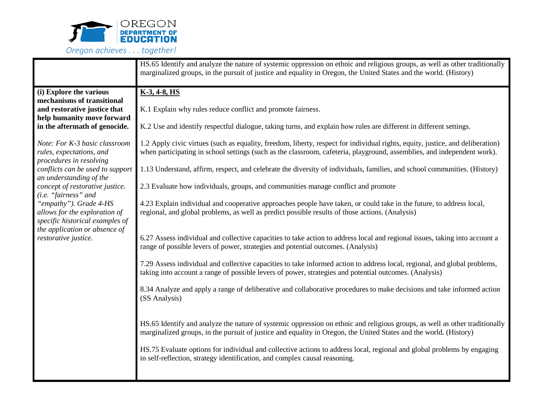

|                                                                                                                                                                                                                                                                                                                                               | HS.65 Identify and analyze the nature of systemic oppression on ethnic and religious groups, as well as other traditionally<br>marginalized groups, in the pursuit of justice and equality in Oregon, the United States and the world. (History)                                                                                                                                                                                                                            |  |  |  |  |  |  |  |  |  |
|-----------------------------------------------------------------------------------------------------------------------------------------------------------------------------------------------------------------------------------------------------------------------------------------------------------------------------------------------|-----------------------------------------------------------------------------------------------------------------------------------------------------------------------------------------------------------------------------------------------------------------------------------------------------------------------------------------------------------------------------------------------------------------------------------------------------------------------------|--|--|--|--|--|--|--|--|--|
| (i) Explore the various<br>mechanisms of transitional<br>and restorative justice that<br>help humanity move forward<br>in the aftermath of genocide.                                                                                                                                                                                          | $K-3, 4-8, HS$<br>K.1 Explain why rules reduce conflict and promote fairness.<br>K.2 Use and identify respectful dialogue, taking turns, and explain how rules are different in different settings.                                                                                                                                                                                                                                                                         |  |  |  |  |  |  |  |  |  |
| Note: For K-3 basic classroom<br>rules, expectations, and<br>procedures in resolving<br>conflicts can be used to support<br>an understanding of the<br>concept of restorative justice.<br>(i.e. "fairness" and<br>"empathy"). Grade 4-HS<br>allows for the exploration of<br>specific historical examples of<br>the application or absence of | 1.2 Apply civic virtues (such as equality, freedom, liberty, respect for individual rights, equity, justice, and deliberation)<br>when participating in school settings (such as the classroom, cafeteria, playground, assemblies, and independent work).<br>1.13 Understand, affirm, respect, and celebrate the diversity of individuals, families, and school communities. (History)<br>2.3 Evaluate how individuals, groups, and communities manage conflict and promote |  |  |  |  |  |  |  |  |  |
|                                                                                                                                                                                                                                                                                                                                               | 4.23 Explain individual and cooperative approaches people have taken, or could take in the future, to address local,<br>regional, and global problems, as well as predict possible results of those actions. (Analysis)                                                                                                                                                                                                                                                     |  |  |  |  |  |  |  |  |  |
| restorative justice.                                                                                                                                                                                                                                                                                                                          | 6.27 Assess individual and collective capacities to take action to address local and regional issues, taking into account a<br>range of possible levers of power, strategies and potential outcomes. (Analysis)<br>7.29 Assess individual and collective capacities to take informed action to address local, regional, and global problems,<br>taking into account a range of possible levers of power, strategies and potential outcomes. (Analysis)                      |  |  |  |  |  |  |  |  |  |
|                                                                                                                                                                                                                                                                                                                                               | 8.34 Analyze and apply a range of deliberative and collaborative procedures to make decisions and take informed action<br>(SS Analysis)                                                                                                                                                                                                                                                                                                                                     |  |  |  |  |  |  |  |  |  |
|                                                                                                                                                                                                                                                                                                                                               | HS.65 Identify and analyze the nature of systemic oppression on ethnic and religious groups, as well as other traditionally<br>marginalized groups, in the pursuit of justice and equality in Oregon, the United States and the world. (History)                                                                                                                                                                                                                            |  |  |  |  |  |  |  |  |  |
|                                                                                                                                                                                                                                                                                                                                               | HS.75 Evaluate options for individual and collective actions to address local, regional and global problems by engaging<br>in self-reflection, strategy identification, and complex causal reasoning.                                                                                                                                                                                                                                                                       |  |  |  |  |  |  |  |  |  |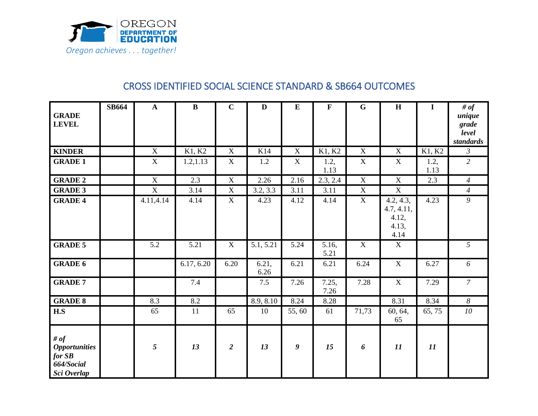

## CROSS IDENTIFIED SOCIAL SCIENCE STANDARD & SB664 OUTCOMES

| <b>GRADE</b><br><b>LEVEL</b>                                            | <b>SB664</b> | $\mathbf{A}$ | $\bf{B}$   | $\mathbf C$    | $\mathbf{D}$  | $\bf{E}$                  | $\mathbf F$   | $\mathbf G$    | H                                                 | $\mathbf I$  | # of<br>unique<br>grade<br>level<br>standards |
|-------------------------------------------------------------------------|--------------|--------------|------------|----------------|---------------|---------------------------|---------------|----------------|---------------------------------------------------|--------------|-----------------------------------------------|
| <b>KINDER</b>                                                           |              | X            | K1, K2     | $\mathbf X$    | K14           | $\boldsymbol{\mathrm{X}}$ | K1, K2        | $\mathbf X$    | $\mathbf X$                                       | K1, K2       | $\mathfrak{Z}$                                |
| <b>GRADE 1</b>                                                          |              | $\mathbf X$  | 1.2,1.13   | $\mathbf X$    | 1.2           | $\boldsymbol{\mathrm{X}}$ | 1.2,<br>1.13  | $\mathbf X$    | $\mathbf X$                                       | 1.2,<br>1.13 | $\overline{2}$                                |
| <b>GRADE 2</b>                                                          |              | $\mathbf X$  | 2.3        | $\mathbf X$    | 2.26          | 2.16                      | 2.3, 2.4      | $\mathbf X$    | $\mathbf X$                                       | 2.3          | $\overline{4}$                                |
| <b>GRADE 3</b>                                                          |              | X            | 3.14       | X              | 3.2, 3.3      | 3.11                      | 3.11          | $\mathbf X$    | $\mathbf X$                                       |              | $\overline{4}$                                |
| <b>GRADE 4</b>                                                          |              | 4.11,4.14    | 4.14       | $\mathbf X$    | 4.23          | 4.12                      | 4.14          | $\overline{X}$ | 4.2, 4.3,<br>4.7, 4.11,<br>4.12,<br>4.13,<br>4.14 | 4.23         | $\overline{9}$                                |
| <b>GRADE 5</b>                                                          |              | 5.2          | 5.21       | $\mathbf X$    | 5.1, 5.21     | 5.24                      | 5.16,<br>5.21 | X              | $\mathbf X$                                       |              | 5                                             |
| <b>GRADE 6</b>                                                          |              |              | 6.17, 6.20 | 6.20           | 6.21,<br>6.26 | 6.21                      | 6.21          | 6.24           | $\mathbf X$                                       | 6.27         | 6                                             |
| <b>GRADE 7</b>                                                          |              |              | 7.4        |                | 7.5           | 7.26                      | 7.25,<br>7.26 | 7.28           | $\mathbf X$                                       | 7.29         | $\overline{7}$                                |
| <b>GRADE 8</b>                                                          |              | 8.3          | 8.2        |                | 8.9, 8.10     | 8.24                      | 8.28          |                | 8.31                                              | 8.34         | 8                                             |
| H.S                                                                     |              | 65           | 11         | 65             | 10            | 55,60                     | 61            | 71,73          | 60, 64,<br>65                                     | 65, 75       | 10                                            |
| # of<br><b>Opportunities</b><br>$for$ $SB$<br>664/Social<br>Sci Overlap |              | 5            | 13         | $\overline{2}$ | 13            | 9                         | 15            | 6              | 11                                                | 11           |                                               |